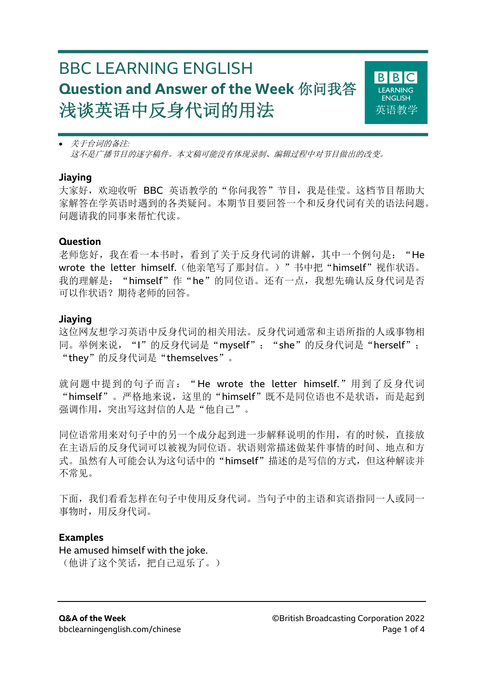# BBC LEARNING ENGLISH **Question and Answer of the Week** 你问我答 浅谈英语中反身代词的用法



• 关于台词的备注*:* 这不是广播节目的逐字稿件。本文稿可能没有体现录制、编辑过程中对节目做出的改变。

#### **Jiaying**

大家好, 欢迎收听 BBC 英语教学的"你问我答"节目, 我是佳莹。这档节目帮助大 家解答在学英语时遇到的各类疑问。本期节目要回答一个和反身代词有关的语法问题。 问题请我的同事来帮忙代读。

#### **Question**

老师您好,我在看一本书时,看到了关于反身代词的讲解,其中一个例句是: "He wrote the letter himself. (他亲笔写了那封信。)"书中把"himself"视作状语。 我的理解是: "himself"作"he"的同位语。还有一点,我想先确认反身代词是否 可以作状语?期待老师的回答。

#### **Jiaying**

这位网友想学习英语中反身代词的社会用法。反身代词通常和主语所指的人或事物相 同。举例来说, "I"的反身代词是"myself"; "she"的反身代词是"herself"; "they"的反身代词是"themselves"。

就问题中提到的句子而言: "He wrote the letter himself."用到了反身代词 "himself"。严格地来说,这里的"himself"既不是同位语也不是状语,而是起到 强调作用, 突出写这封信的人是"他自己"。

同位语常用来对句子中的另一个成分起到进一步解释说明的作用,有的时候,直接放 在主语后的反身代词可以被视为同位语。状语则常描述做某件事情的时间、地点和方 式。虽然有人可能会认为这句话中的"himself"描述的是写信的方式,但这种解读并 不常见。

下面,我们看看怎样在句子中使用反身代词。当句子中的主语和宾语指同一人或同一 事物时,用反身代词。

#### **Examples**

#### He amused himself with the joke.

(他讲了这个笑话,把自己逗乐了。)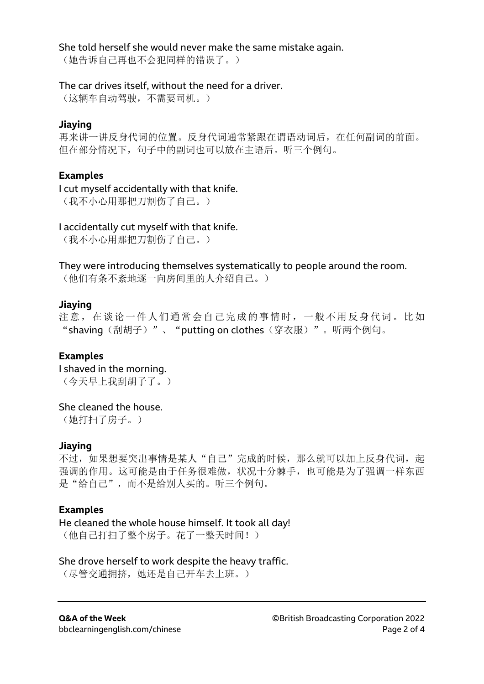#### She told herself she would never make the same mistake again.

(她告诉自己再也不会犯同样的错误了。)

### The car drives itself, without the need for a driver.

(这辆车自动驾驶,不需要司机。)

# **Jiaying**

再来讲一讲反身代词的位置。反身代词通常紧跟在谓语动词后,在任何副词的前面。 但在部分情况下,句子中的副词也可以放在主语后。听三个例句。

# **Examples**

I cut myself accidentally with that knife. (我不小心用那把刀割伤了自己。)

# I accidentally cut myself with that knife.

(我不小心用那把刀割伤了自己。)

#### They were introducing themselves systematically to people around the room.

(他们有条不紊地逐一向房间里的人介绍自己。)

# **Jiaying**

注意,在谈论一件人们通常会自己完成的事情时,一般不用反身代词。比如 "shaving(刮胡子)"、"putting on clothes(穿衣服)"。听两个例句。

# **Examples**

I shaved in the morning. (今天早上我刮胡子了。)

#### She cleaned the house.

(她打扫了房子。)

#### **Jiaying**

不过,如果想要突出事情是某人"自己"完成的时候,那么就可以加上反身代词,起 强调的作用。这可能是由于任务很难做,状况十分棘手,也可能是为了强调一样东西 是"给自己",而不是给别人买的。听三个例句。

# **Examples**

He cleaned the whole house himself. It took all day! (他自己打扫了整个房子。花了一整天时间!)

# She drove herself to work despite the heavy traffic.

(尽管交通拥挤,她还是自己开车去上班。)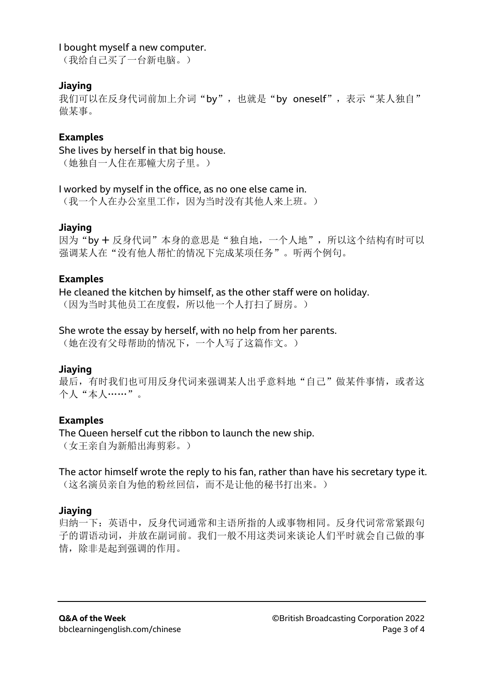# I bought myself a new computer.

(我给自己买了一台新电脑。)

# **Jiaying**

我们可以在反身代词前加上介词"by", 也就是"by oneself", 表示"某人独自" 做某事。

# **Examples**

She lives by herself in that big house.

(她独自一人住在那幢大房子里。)

# I worked by myself in the office, as no one else came in.

(我一个人在办公室里工作,因为当时没有其他人来上班。)

# **Jiaying**

因为"by + 反身代词"本身的意思是"独自地,一个人地", 所以这个结构有时可以 强调某人在"没有他人帮忙的情况下完成某项任务"。听两个例句。

# **Examples**

He cleaned the kitchen by himself, as the other staff were on holiday. (因为当时其他员工在度假,所以他一个人打扫了厨房。)

#### She wrote the essay by herself, with no help from her parents.

(她在没有父母帮助的情况下,一个人写了这篇作文。)

#### **Jiaying**

最后,有时我们也可用反身代词来强调某人出乎意料地"自己"做某件事情,或者这 个人"本人……"。

# **Examples**

#### The Queen herself cut the ribbon to launch the new ship.

(女王亲自为新船出海剪彩。)

The actor himself wrote the reply to his fan, rather than have his secretary type it. (这名演员亲自为他的粉丝回信,而不是让他的秘书打出来。)

#### **Jiaying**

归纳一下:英语中,反身代词通常和主语所指的人或事物相同。反身代词常常紧跟句 子的谓语动词,并放在副词前。我们一般不用这类词来谈论人们平时就会自己做的事 情,除非是起到强调的作用。